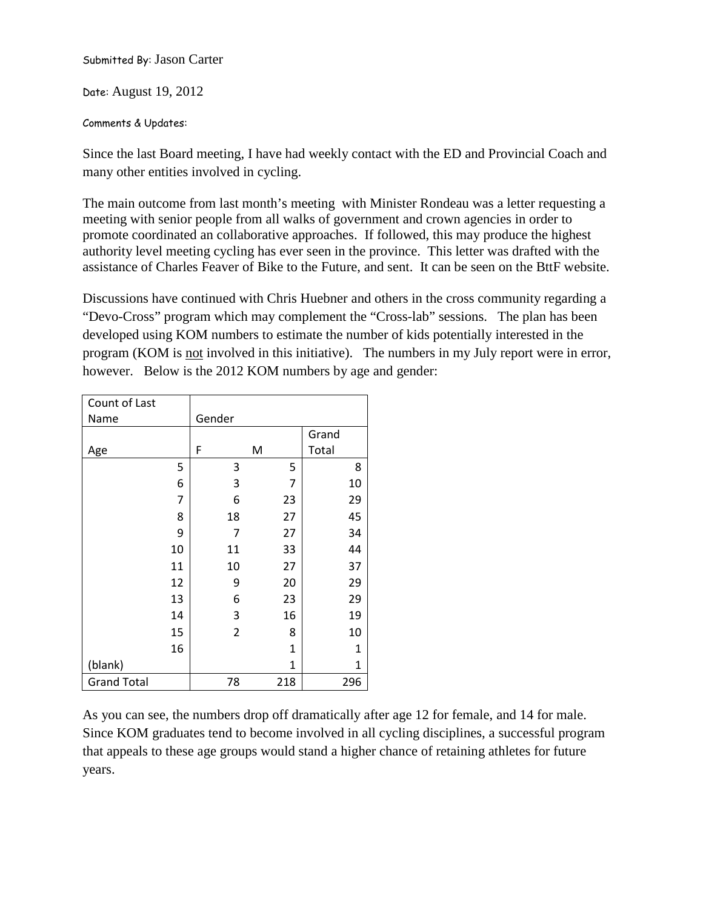Submitted By: Jason Carter

Date: August 19, 2012

## Comments & Updates:

Since the last Board meeting, I have had weekly contact with the ED and Provincial Coach and many other entities involved in cycling.

The main outcome from last month's meeting with Minister Rondeau was a letter requesting a meeting with senior people from all walks of government and crown agencies in order to promote coordinated an collaborative approaches. If followed, this may produce the highest authority level meeting cycling has ever seen in the province. This letter was drafted with the assistance of Charles Feaver of Bike to the Future, and sent. It can be seen on the BttF website.

Discussions have continued with Chris Huebner and others in the cross community regarding a "Devo-Cross" program which may complement the "Cross-lab" sessions. The plan has been developed using KOM numbers to estimate the number of kids potentially interested in the program (KOM is not involved in this initiative). The numbers in my July report were in error, however. Below is the 2012 KOM numbers by age and gender:

| Count of Last      |    |                |     |       |  |  |
|--------------------|----|----------------|-----|-------|--|--|
| Name               |    | Gender         |     |       |  |  |
|                    |    |                |     | Grand |  |  |
| Age                |    | F              | M   | Total |  |  |
|                    | 5  | 3              | 5   | 8     |  |  |
|                    | 6  | 3              | 7   | 10    |  |  |
|                    | 7  | 6              | 23  | 29    |  |  |
|                    | 8  | 18             | 27  | 45    |  |  |
|                    | 9  | 7              | 27  | 34    |  |  |
|                    | 10 | 11             | 33  | 44    |  |  |
|                    | 11 | 10             | 27  | 37    |  |  |
|                    | 12 | 9              | 20  | 29    |  |  |
|                    | 13 | 6              | 23  | 29    |  |  |
|                    | 14 | 3              | 16  | 19    |  |  |
|                    | 15 | $\overline{2}$ | 8   | 10    |  |  |
|                    | 16 |                | 1   | 1     |  |  |
| (blank)            |    |                | 1   | 1     |  |  |
| <b>Grand Total</b> |    | 78             | 218 | 296   |  |  |

As you can see, the numbers drop off dramatically after age 12 for female, and 14 for male. Since KOM graduates tend to become involved in all cycling disciplines, a successful program that appeals to these age groups would stand a higher chance of retaining athletes for future years.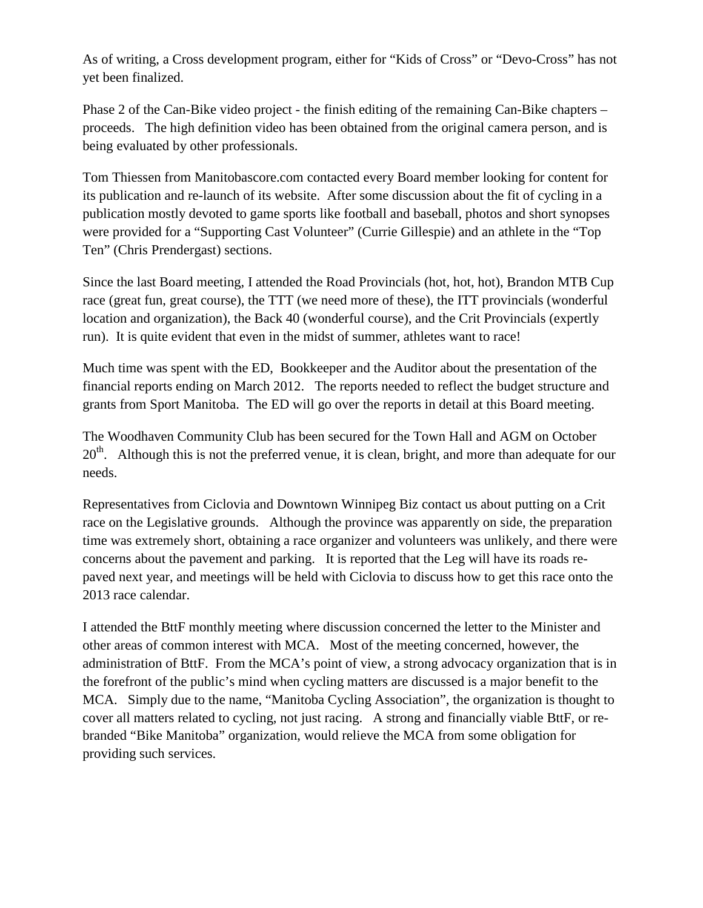As of writing, a Cross development program, either for "Kids of Cross" or "Devo-Cross" has not yet been finalized.

Phase 2 of the Can-Bike video project - the finish editing of the remaining Can-Bike chapters – proceeds. The high definition video has been obtained from the original camera person, and is being evaluated by other professionals.

Tom Thiessen from Manitobascore.com contacted every Board member looking for content for its publication and re-launch of its website. After some discussion about the fit of cycling in a publication mostly devoted to game sports like football and baseball, photos and short synopses were provided for a "Supporting Cast Volunteer" (Currie Gillespie) and an athlete in the "Top Ten" (Chris Prendergast) sections.

Since the last Board meeting, I attended the Road Provincials (hot, hot, hot), Brandon MTB Cup race (great fun, great course), the TTT (we need more of these), the ITT provincials (wonderful location and organization), the Back 40 (wonderful course), and the Crit Provincials (expertly run). It is quite evident that even in the midst of summer, athletes want to race!

Much time was spent with the ED, Bookkeeper and the Auditor about the presentation of the financial reports ending on March 2012. The reports needed to reflect the budget structure and grants from Sport Manitoba. The ED will go over the reports in detail at this Board meeting.

The Woodhaven Community Club has been secured for the Town Hall and AGM on October  $20<sup>th</sup>$ . Although this is not the preferred venue, it is clean, bright, and more than adequate for our needs.

Representatives from Ciclovia and Downtown Winnipeg Biz contact us about putting on a Crit race on the Legislative grounds. Although the province was apparently on side, the preparation time was extremely short, obtaining a race organizer and volunteers was unlikely, and there were concerns about the pavement and parking. It is reported that the Leg will have its roads repaved next year, and meetings will be held with Ciclovia to discuss how to get this race onto the 2013 race calendar.

I attended the BttF monthly meeting where discussion concerned the letter to the Minister and other areas of common interest with MCA. Most of the meeting concerned, however, the administration of BttF. From the MCA's point of view, a strong advocacy organization that is in the forefront of the public's mind when cycling matters are discussed is a major benefit to the MCA. Simply due to the name, "Manitoba Cycling Association", the organization is thought to cover all matters related to cycling, not just racing. A strong and financially viable BttF, or rebranded "Bike Manitoba" organization, would relieve the MCA from some obligation for providing such services.